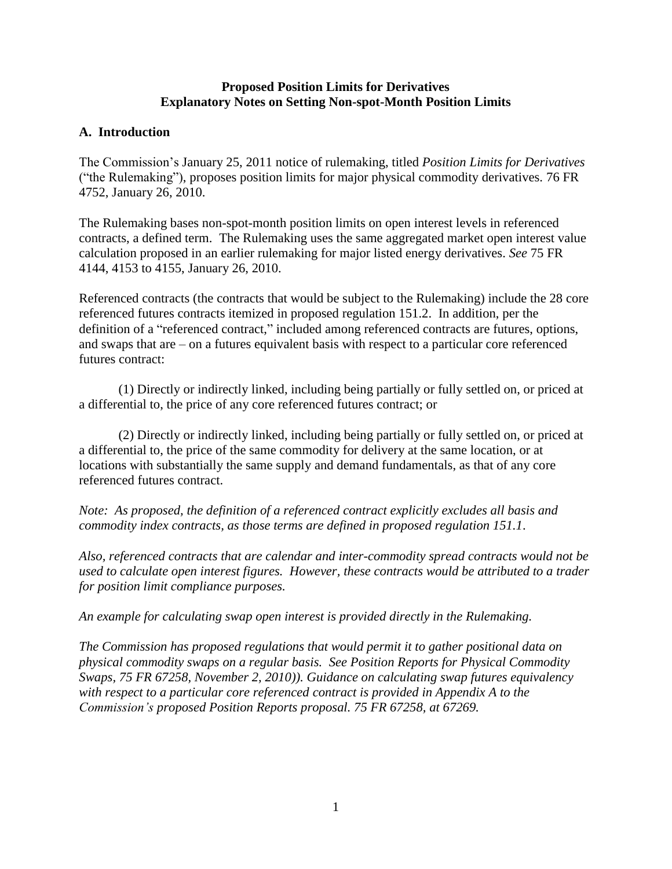#### **Proposed Position Limits for Derivatives Explanatory Notes on Setting Non-spot-Month Position Limits**

### **A. Introduction**

The Commission's January 25, 2011 notice of rulemaking, titled *Position Limits for Derivatives* ("the Rulemaking"), proposes position limits for major physical commodity derivatives. 76 FR 4752, January 26, 2010.

The Rulemaking bases non-spot-month position limits on open interest levels in referenced contracts, a defined term. The Rulemaking uses the same aggregated market open interest value calculation proposed in an earlier rulemaking for major listed energy derivatives. *See* 75 FR 4144, 4153 to 4155, January 26, 2010.

Referenced contracts (the contracts that would be subject to the Rulemaking) include the 28 core referenced futures contracts itemized in proposed regulation 151.2. In addition, per the definition of a "referenced contract," included among referenced contracts are futures, options, and swaps that are – on a futures equivalent basis with respect to a particular core referenced futures contract:

(1) Directly or indirectly linked, including being partially or fully settled on, or priced at a differential to, the price of any core referenced futures contract; or

(2) Directly or indirectly linked, including being partially or fully settled on, or priced at a differential to, the price of the same commodity for delivery at the same location, or at locations with substantially the same supply and demand fundamentals, as that of any core referenced futures contract.

*Note: As proposed, the definition of a referenced contract explicitly excludes all basis and commodity index contracts, as those terms are defined in proposed regulation 151.1*.

*Also, referenced contracts that are calendar and inter-commodity spread contracts would not be used to calculate open interest figures. However, these contracts would be attributed to a trader for position limit compliance purposes.* 

*An example for calculating swap open interest is provided directly in the Rulemaking.* 

*The Commission has proposed regulations that would permit it to gather positional data on physical commodity swaps on a regular basis. See Position Reports for Physical Commodity Swaps, 75 FR 67258, November 2, 2010)). Guidance on calculating swap futures equivalency with respect to a particular core referenced contract is provided in Appendix A to the Commission's proposed Position Reports proposal. 75 FR 67258, at 67269.*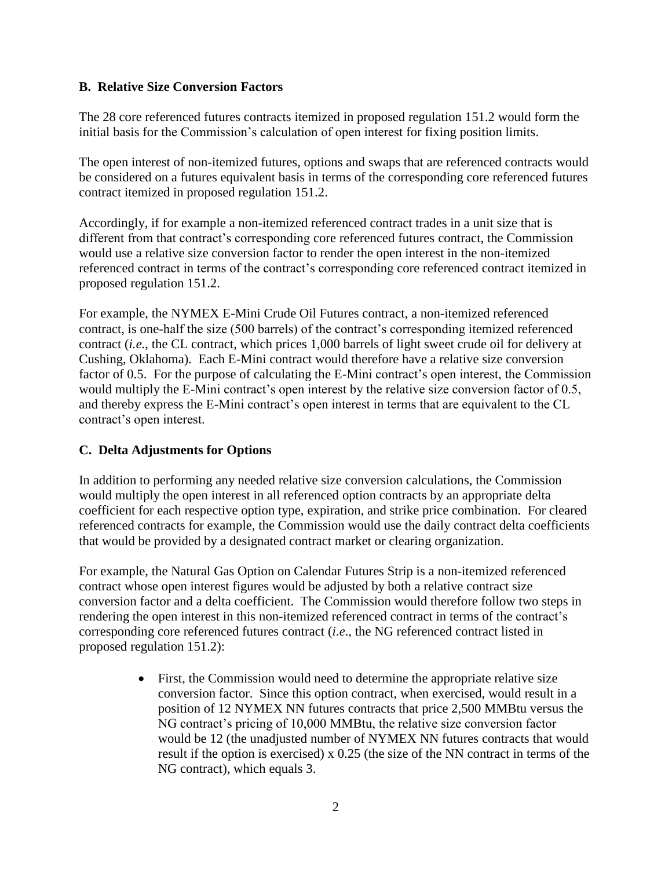## **B. Relative Size Conversion Factors**

The 28 core referenced futures contracts itemized in proposed regulation 151.2 would form the initial basis for the Commission's calculation of open interest for fixing position limits.

The open interest of non-itemized futures, options and swaps that are referenced contracts would be considered on a futures equivalent basis in terms of the corresponding core referenced futures contract itemized in proposed regulation 151.2.

Accordingly, if for example a non-itemized referenced contract trades in a unit size that is different from that contract's corresponding core referenced futures contract, the Commission would use a relative size conversion factor to render the open interest in the non-itemized referenced contract in terms of the contract's corresponding core referenced contract itemized in proposed regulation 151.2.

For example, the NYMEX E-Mini Crude Oil Futures contract, a non-itemized referenced contract, is one-half the size (500 barrels) of the contract's corresponding itemized referenced contract (*i.e.*, the CL contract, which prices 1,000 barrels of light sweet crude oil for delivery at Cushing, Oklahoma). Each E-Mini contract would therefore have a relative size conversion factor of 0.5. For the purpose of calculating the E-Mini contract's open interest, the Commission would multiply the E-Mini contract's open interest by the relative size conversion factor of 0.5, and thereby express the E-Mini contract's open interest in terms that are equivalent to the CL contract's open interest.

# **C. Delta Adjustments for Options**

In addition to performing any needed relative size conversion calculations, the Commission would multiply the open interest in all referenced option contracts by an appropriate delta coefficient for each respective option type, expiration, and strike price combination. For cleared referenced contracts for example, the Commission would use the daily contract delta coefficients that would be provided by a designated contract market or clearing organization.

For example, the Natural Gas Option on Calendar Futures Strip is a non-itemized referenced contract whose open interest figures would be adjusted by both a relative contract size conversion factor and a delta coefficient. The Commission would therefore follow two steps in rendering the open interest in this non-itemized referenced contract in terms of the contract's corresponding core referenced futures contract (*i*.*e*., the NG referenced contract listed in proposed regulation 151.2):

> First, the Commission would need to determine the appropriate relative size conversion factor. Since this option contract, when exercised, would result in a position of 12 NYMEX NN futures contracts that price 2,500 MMBtu versus the NG contract's pricing of 10,000 MMBtu, the relative size conversion factor would be 12 (the unadjusted number of NYMEX NN futures contracts that would result if the option is exercised) x 0.25 (the size of the NN contract in terms of the NG contract), which equals 3.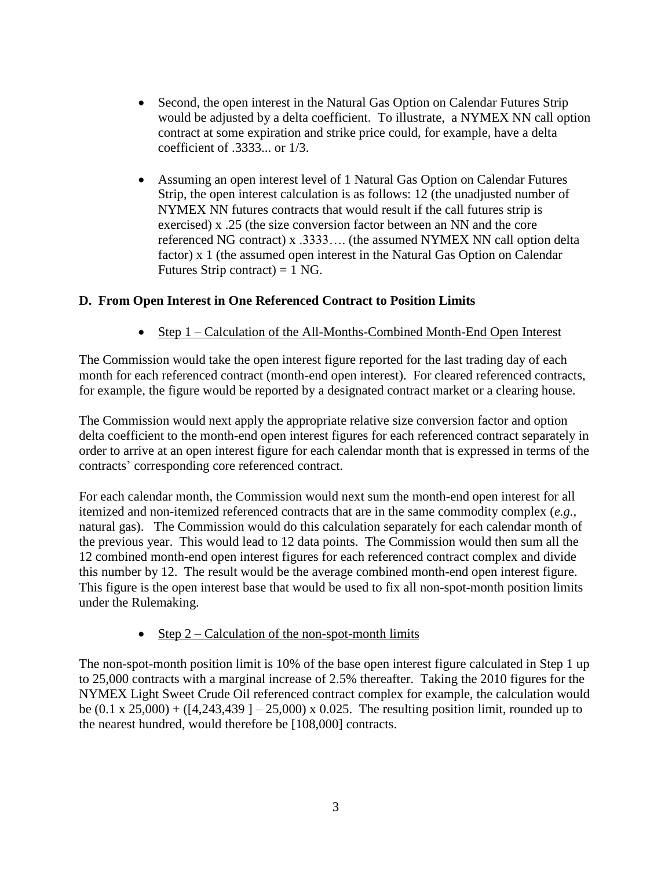- Second, the open interest in the Natural Gas Option on Calendar Futures Strip would be adjusted by a delta coefficient. To illustrate, a NYMEX NN call option contract at some expiration and strike price could, for example, have a delta coefficient of .3333... or 1/3.
- Assuming an open interest level of 1 Natural Gas Option on Calendar Futures Strip, the open interest calculation is as follows: 12 (the unadjusted number of NYMEX NN futures contracts that would result if the call futures strip is exercised) x .25 (the size conversion factor between an NN and the core referenced NG contract) x .3333…. (the assumed NYMEX NN call option delta factor) x 1 (the assumed open interest in the Natural Gas Option on Calendar Futures Strip contract) =  $1$  NG.

# **D. From Open Interest in One Referenced Contract to Position Limits**

• Step 1 – Calculation of the All-Months-Combined Month-End Open Interest

The Commission would take the open interest figure reported for the last trading day of each month for each referenced contract (month-end open interest). For cleared referenced contracts, for example, the figure would be reported by a designated contract market or a clearing house.

The Commission would next apply the appropriate relative size conversion factor and option delta coefficient to the month-end open interest figures for each referenced contract separately in order to arrive at an open interest figure for each calendar month that is expressed in terms of the contracts' corresponding core referenced contract.

For each calendar month, the Commission would next sum the month-end open interest for all itemized and non-itemized referenced contracts that are in the same commodity complex (*e.g.*, natural gas). The Commission would do this calculation separately for each calendar month of the previous year. This would lead to 12 data points. The Commission would then sum all the 12 combined month-end open interest figures for each referenced contract complex and divide this number by 12. The result would be the average combined month-end open interest figure. This figure is the open interest base that would be used to fix all non-spot-month position limits under the Rulemaking.

• Step  $2$  – Calculation of the non-spot-month limits

The non-spot-month position limit is 10% of the base open interest figure calculated in Step 1 up to 25,000 contracts with a marginal increase of 2.5% thereafter. Taking the 2010 figures for the NYMEX Light Sweet Crude Oil referenced contract complex for example, the calculation would be  $(0.1 \times 25,000) + (14,243,439) - 25,000 \times 0.025$ . The resulting position limit, rounded up to the nearest hundred, would therefore be [108,000] contracts.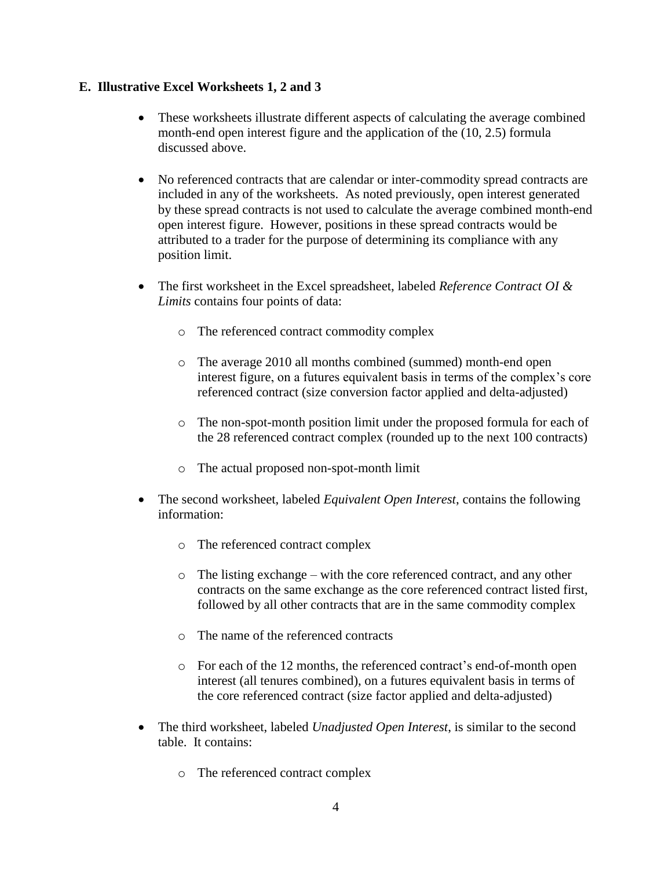### **E. Illustrative Excel Worksheets 1, 2 and 3**

- These worksheets illustrate different aspects of calculating the average combined month-end open interest figure and the application of the (10, 2.5) formula discussed above.
- No referenced contracts that are calendar or inter-commodity spread contracts are included in any of the worksheets. As noted previously, open interest generated by these spread contracts is not used to calculate the average combined month-end open interest figure. However, positions in these spread contracts would be attributed to a trader for the purpose of determining its compliance with any position limit.
- The first worksheet in the Excel spreadsheet, labeled *Reference Contract OI & Limits* contains four points of data:
	- o The referenced contract commodity complex
	- o The average 2010 all months combined (summed) month-end open interest figure, on a futures equivalent basis in terms of the complex's core referenced contract (size conversion factor applied and delta-adjusted)
	- o The non-spot-month position limit under the proposed formula for each of the 28 referenced contract complex (rounded up to the next 100 contracts)
	- o The actual proposed non-spot-month limit
- The second worksheet, labeled *Equivalent Open Interest*, contains the following information:
	- o The referenced contract complex
	- o The listing exchange with the core referenced contract, and any other contracts on the same exchange as the core referenced contract listed first, followed by all other contracts that are in the same commodity complex
	- o The name of the referenced contracts
	- o For each of the 12 months, the referenced contract's end-of-month open interest (all tenures combined), on a futures equivalent basis in terms of the core referenced contract (size factor applied and delta-adjusted)
- The third worksheet, labeled *Unadjusted Open Interest*, is similar to the second table. It contains:
	- o The referenced contract complex